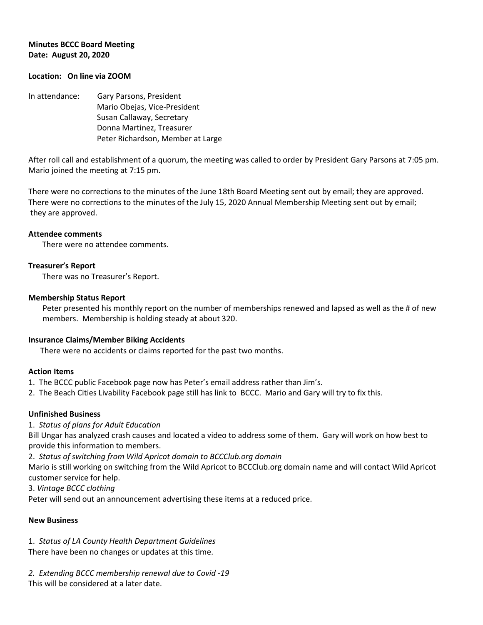### **Minutes BCCC Board Meeting Date: August 20, 2020**

### **Location: On line via ZOOM**

In attendance: Gary Parsons, President Mario Obejas, Vice-President Susan Callaway, Secretary Donna Martinez, Treasurer Peter Richardson, Member at Large

After roll call and establishment of a quorum, the meeting was called to order by President Gary Parsons at 7:05 pm. Mario joined the meeting at 7:15 pm.

There were no corrections to the minutes of the June 18th Board Meeting sent out by email; they are approved. There were no corrections to the minutes of the July 15, 2020 Annual Membership Meeting sent out by email; they are approved.

### **Attendee comments**

There were no attendee comments.

### **Treasurer's Report**

There was no Treasurer's Report.

### **Membership Status Report**

Peter presented his monthly report on the number of memberships renewed and lapsed as well as the # of new members. Membership is holding steady at about 320.

#### **Insurance Claims/Member Biking Accidents**

There were no accidents or claims reported for the past two months.

### **Action Items**

- 1. The BCCC public Facebook page now has Peter's email address rather than Jim's.
- 2. The Beach Cities Livability Facebook page still has link to BCCC. Mario and Gary will try to fix this.

### **Unfinished Business**

1. *Status of plans for Adult Education*

Bill Ungar has analyzed crash causes and located a video to address some of them. Gary will work on how best to provide this information to members.

2. *Status of switching from Wild Apricot domain to BCCClub.org domain*

Mario is still working on switching from the Wild Apricot to BCCClub.org domain name and will contact Wild Apricot customer service for help.

3. *Vintage BCCC clothing*

Peter will send out an announcement advertising these items at a reduced price.

### **New Business**

1. *Status of LA County Health Department Guidelines*

There have been no changes or updates at this time.

*2. Extending BCCC membership renewal due to Covid -19* This will be considered at a later date.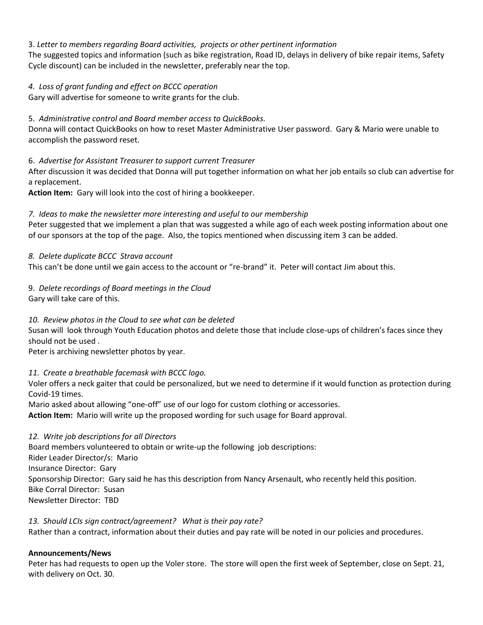# 3. *Letter to members regarding Board activities, projects or other pertinent information*

The suggested topics and information (such as bike registration, Road ID, delays in delivery of bike repair items, Safety Cycle discount) can be included in the newsletter, preferably near the top.

# *4. Loss of grant funding and effect on BCCC operation*

Gary will advertise for someone to write grants for the club.

# 5. *Administrative control and Board member access to QuickBooks.*

Donna will contact QuickBooks on how to reset Master Administrative User password. Gary & Mario were unable to accomplish the password reset.

# 6. *Advertise for Assistant Treasurer to support current Treasurer*

After discussion it was decided that Donna will put together information on what her job entails so club can advertise for a replacement.

**Action Item:** Gary will look into the cost of hiring a bookkeeper.

# *7. Ideas to make the newsletter more interesting and useful to our membership*

Peter suggested that we implement a plan that was suggested a while ago of each week posting information about one of our sponsors at the top of the page. Also, the topics mentioned when discussing item 3 can be added.

# *8. Delete duplicate BCCC Strava account*

This can't be done until we gain access to the account or "re-brand" it. Peter will contact Jim about this.

# 9. *Delete recordings of Board meetings in the Cloud*

Gary will take care of this.

# *10. Review photos in the Cloud to see what can be deleted*

Susan will look through Youth Education photos and delete those that include close-ups of children's faces since they should not be used .

Peter is archiving newsletter photos by year.

# *11. Create a breathable facemask with BCCC logo.*

Voler offers a neck gaiter that could be personalized, but we need to determine if it would function as protection during Covid-19 times.

Mario asked about allowing "one-off" use of our logo for custom clothing or accessories.

**Action Item:** Mario will write up the proposed wording for such usage for Board approval.

# *12. Write job descriptions for all Directors*

Board members volunteered to obtain or write-up the following job descriptions: Rider Leader Director/s: Mario Insurance Director: Gary Sponsorship Director: Gary said he has this description from Nancy Arsenault, who recently held this position. Bike Corral Director: Susan Newsletter Director: TBD

# *13. Should LCIs sign contract/agreement? What is their pay rate?*

Rather than a contract, information about their duties and pay rate will be noted in our policies and procedures.

# **Announcements/News**

Peter has had requests to open up the Voler store. The store will open the first week of September, close on Sept. 21, with delivery on Oct. 30.